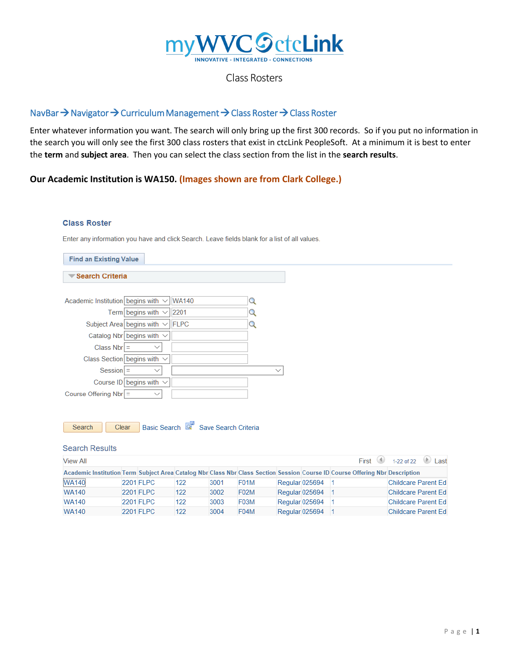

## Class Rosters

# NavBar → Navigator → Curriculum Management → Class Roster → Class Roster

Enter whatever information you want. The search will only bring up the first 300 records. So if you put no information in the search you will only see the first 300 class rosters that exist in ctcLink PeopleSoft. At a minimum it is best to enter the **term** and **subject area**. Then you can select the class section from the list in the **search results**.

## **Our Academic Institution is WA150. (Images shown are from Clark College.)**

### **Class Roster**

Enter any information you have and click Search. Leave fields blank for a list of all values.

| <b>Find an Existing Value</b>                           |              |
|---------------------------------------------------------|--------------|
| Search Criteria                                         |              |
|                                                         |              |
| Academic Institution begins with $\vee$<br><b>WA140</b> |              |
| Term begins with $\vee$<br>$\vert$ 2201                 |              |
| Subject Area begins with $\vee$<br><b>IFLPC</b>         |              |
| Catalog Nbr begins with $\vee$                          |              |
| Class $Nbr$ =<br>$\checkmark$                           |              |
| Class Section begins with $\vee$                        |              |
| $Session$ =<br>$\checkmark$                             | $\checkmark$ |
| Course ID begins with $\vee$                            |              |
| Course Offering $Nbr$ =<br>$\checkmark$                 |              |
|                                                         |              |
|                                                         |              |

| <b>Search</b> |  | Clear |  |  | Basic Search Q Save Search Criteria |
|---------------|--|-------|--|--|-------------------------------------|
|---------------|--|-------|--|--|-------------------------------------|

| <b>Search Results</b>                                                                                                        |                                        |                  |     |      |                   |  |                |  |                            |  |
|------------------------------------------------------------------------------------------------------------------------------|----------------------------------------|------------------|-----|------|-------------------|--|----------------|--|----------------------------|--|
| <b>View All</b>                                                                                                              | First $\Box$<br>1-22 of 22 $\Box$ Last |                  |     |      |                   |  |                |  |                            |  |
| Academic Institution Term Subject Area Catalog Nbr Class Nbr Class Section Session Course ID Course Offering Nbr Description |                                        |                  |     |      |                   |  |                |  |                            |  |
| <b>WA140</b>                                                                                                                 |                                        | <b>2201 FLPC</b> | 122 | 3001 | F01M              |  | Regular 025694 |  | <b>Childcare Parent Ed</b> |  |
| <b>WA140</b>                                                                                                                 |                                        | <b>2201 FLPC</b> | 122 | 3002 | F <sub>02</sub> M |  | Regular 025694 |  | Childcare Parent Ed        |  |
| <b>WA140</b>                                                                                                                 |                                        | <b>2201 FLPC</b> | 122 | 3003 | F <sub>03</sub> M |  | Regular 025694 |  | <b>Childcare Parent Ed</b> |  |
| <b>WA140</b>                                                                                                                 |                                        | <b>2201 FLPC</b> | 122 | 3004 | F04M              |  | Regular 025694 |  | <b>Childcare Parent Ed</b> |  |